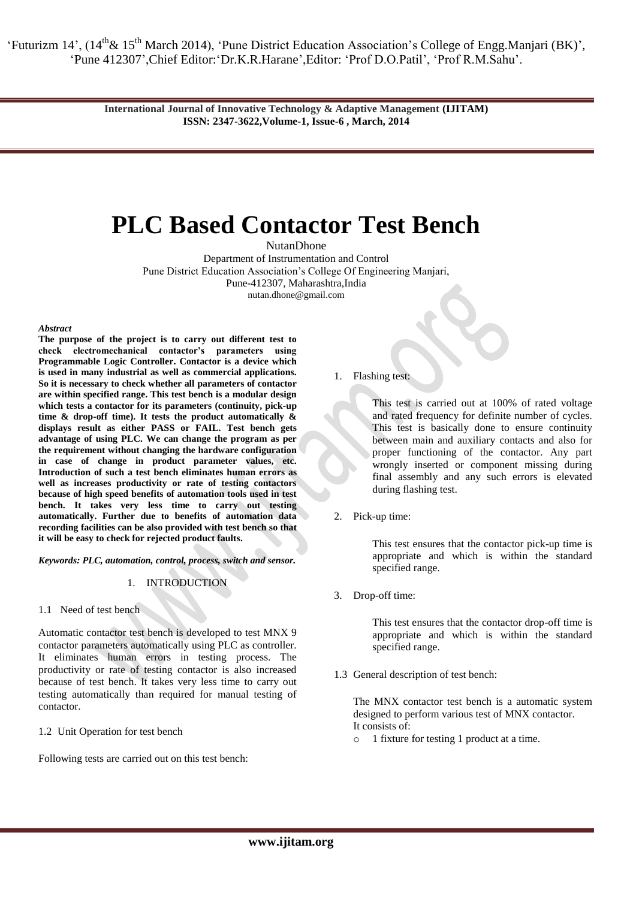> **International Journal of Innovative Technology & Adaptive Management (IJITAM) ISSN: 2347-3622,Volume-1, Issue-6 , March, 2014**

# **PLC Based Contactor Test Bench**

NutanDhone

Department of Instrumentation and Control Pune District Education Association's College Of Engineering Manjari, Pune-412307, Maharashtra,India [nutan.dhone@gmail.com](mailto:nutan.dhone@gmail.com)

*Abstract*

**The purpose of the project is to carry out different test to check electromechanical contactor's parameters using Programmable Logic Controller. Contactor is a device which is used in many industrial as well as commercial applications. So it is necessary to check whether all parameters of contactor are within specified range. This test bench is a modular design which tests a contactor for its parameters (continuity, pick-up time & drop-off time). It tests the product automatically & displays result as either PASS or FAIL. Test bench gets advantage of using PLC. We can change the program as per the requirement without changing the hardware configuration in case of change in product parameter values, etc. Introduction of such a test bench eliminates human errors as well as increases productivity or rate of testing contactors because of high speed benefits of automation tools used in test bench. It takes very less time to carry out testing automatically. Further due to benefits of automation data recording facilities can be also provided with test bench so that it will be easy to check for rejected product faults.**

*Keywords: PLC, automation, control, process, switch and sensor.*

#### 1. INTRODUCTION

1.1 Need of test bench

Automatic contactor test bench is developed to test MNX 9 contactor parameters automatically using PLC as controller. It eliminates human errors in testing process. The productivity or rate of testing contactor is also increased because of test bench. It takes very less time to carry out testing automatically than required for manual testing of contactor.

1.2 Unit Operation for test bench

Following tests are carried out on this test bench:

1. Flashing test:

This test is carried out at 100% of rated voltage and rated frequency for definite number of cycles. This test is basically done to ensure continuity between main and auxiliary contacts and also for proper functioning of the contactor. Any part wrongly inserted or component missing during final assembly and any such errors is elevated during flashing test.

2. Pick-up time:

This test ensures that the contactor pick-up time is appropriate and which is within the standard specified range.

3. Drop-off time:

This test ensures that the contactor drop-off time is appropriate and which is within the standard specified range.

1.3 General description of test bench:

The MNX contactor test bench is a automatic system designed to perform various test of MNX contactor. It consists of:

o 1 fixture for testing 1 product at a time.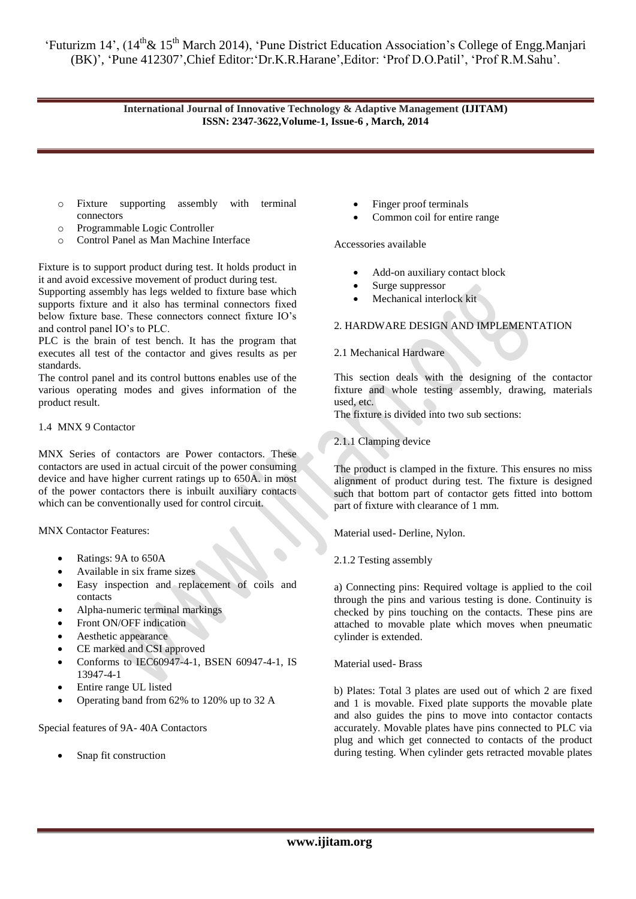# **International Journal of Innovative Technology & Adaptive Management (IJITAM) ISSN: 2347-3622,Volume-1, Issue-6 , March, 2014**

- o Fixture supporting assembly with terminal connectors
- o Programmable Logic Controller
- o Control Panel as Man Machine Interface

Fixture is to support product during test. It holds product in it and avoid excessive movement of product during test. Supporting assembly has legs welded to fixture base which supports fixture and it also has terminal connectors fixed below fixture base. These connectors connect fixture IO's and control panel IO's to PLC.

PLC is the brain of test bench. It has the program that executes all test of the contactor and gives results as per standards.

The control panel and its control buttons enables use of the various operating modes and gives information of the product result.

## 1.4 MNX 9 Contactor

MNX Series of contactors are Power contactors. These contactors are used in actual circuit of the power consuming device and have higher current ratings up to 650A. in most of the power contactors there is inbuilt auxiliary contacts which can be conventionally used for control circuit.

MNX Contactor Features:

- Ratings: 9A to 650A
- Available in six frame sizes
- Easy inspection and replacement of coils and contacts
- Alpha-numeric terminal markings
- Front ON/OFF indication
- Aesthetic appearance
- CE marked and CSI approved
- Conforms to IEC60947-4-1, BSEN 60947-4-1, IS 13947-4-1
- Entire range UL listed
- Operating band from 62% to 120% up to 32 A

Special features of 9A- 40A Contactors

Snap fit construction

- Finger proof terminals
- Common coil for entire range

Accessories available

- Add-on auxiliary contact block
- Surge suppressor
- Mechanical interlock kit

# 2. HARDWARE DESIGN AND IMPLEMENTATION

#### 2.1 Mechanical Hardware

This section deals with the designing of the contactor fixture and whole testing assembly, drawing, materials used, etc.

The fixture is divided into two sub sections:

2.1.1 Clamping device

The product is clamped in the fixture. This ensures no miss alignment of product during test. The fixture is designed such that bottom part of contactor gets fitted into bottom part of fixture with clearance of 1 mm.

Material used- Derline, Nylon.

2.1.2 Testing assembly

a) Connecting pins: Required voltage is applied to the coil through the pins and various testing is done. Continuity is checked by pins touching on the contacts. These pins are attached to movable plate which moves when pneumatic cylinder is extended.

Material used- Brass

b) Plates: Total 3 plates are used out of which 2 are fixed and 1 is movable. Fixed plate supports the movable plate and also guides the pins to move into contactor contacts accurately. Movable plates have pins connected to PLC via plug and which get connected to contacts of the product during testing. When cylinder gets retracted movable plates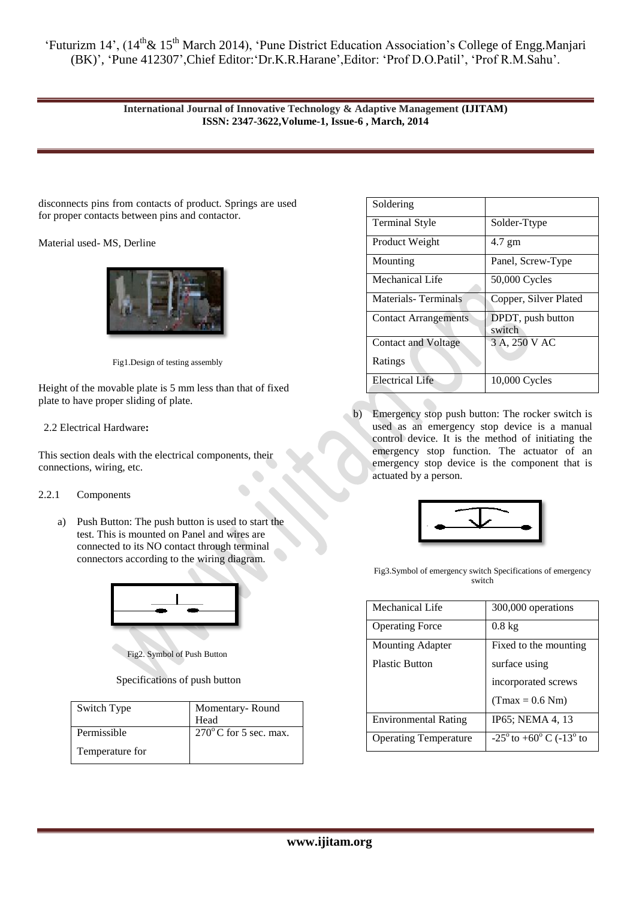# **International Journal of Innovative Technology & Adaptive Management (IJITAM) ISSN: 2347-3622,Volume-1, Issue-6 , March, 2014**

disconnects pins from contacts of product. Springs are used for proper contacts between pins and contactor.

Material used- MS, Derline



Fig1.Design of testing assembly

Height of the movable plate is 5 mm less than that of fixed plate to have proper sliding of plate.

# 2.2 Electrical Hardware**:**

This section deals with the electrical components, their connections, wiring, etc.

## 2.2.1 Components

a) Push Button: The push button is used to start the test. This is mounted on Panel and wires are connected to its NO contact through terminal connectors according to the wiring diagram.



Fig2. Symbol of Push Button

Specifications of push button

| Switch Type     | Momentary-Round<br>Head         |
|-----------------|---------------------------------|
| Permissible     | $270^{\circ}$ C for 5 sec. max. |
| Temperature for |                                 |

| Soldering                   |                             |
|-----------------------------|-----------------------------|
| <b>Terminal Style</b>       | Solder-Ttype                |
| Product Weight              | $4.7 \text{ gm}$            |
| Mounting                    | Panel, Screw-Type           |
| Mechanical Life             | 50,000 Cycles               |
| <b>Materials-Terminals</b>  | Copper, Silver Plated       |
| <b>Contact Arrangements</b> | DPDT, push button<br>switch |
| <b>Contact and Voltage</b>  | 3 A, 250 V AC               |
| Ratings                     |                             |
| <b>Electrical Life</b>      | 10,000 Cycles               |

b) Emergency stop push button: The rocker switch is used as an emergency stop device is a manual control device. It is the method of initiating the emergency stop function. The actuator of an emergency stop device is the component that is actuated by a person.



Fig3.Symbol of emergency switch Specifications of emergency switch

| Mechanical Life              | 300,000 operations                                  |
|------------------------------|-----------------------------------------------------|
| <b>Operating Force</b>       | $0.8 \text{ kg}$                                    |
| <b>Mounting Adapter</b>      | Fixed to the mounting                               |
| <b>Plastic Button</b>        | surface using                                       |
|                              | incorporated screws                                 |
|                              | $(Tmax = 0.6 Nm)$                                   |
| <b>Environmental Rating</b>  | IP65; NEMA 4, 13                                    |
| <b>Operating Temperature</b> | $-25^{\circ}$ to $+60^{\circ}$ C ( $-13^{\circ}$ to |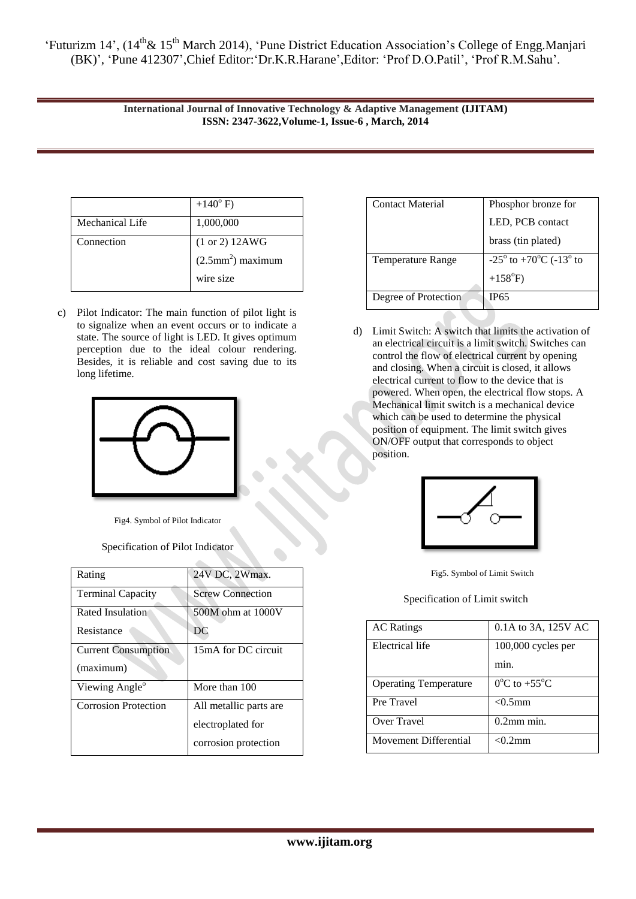> **International Journal of Innovative Technology & Adaptive Management (IJITAM) ISSN: 2347-3622,Volume-1, Issue-6 , March, 2014**

|                 | $+140^{\circ}$ F)                |
|-----------------|----------------------------------|
| Mechanical Life | 1,000,000                        |
| Connection      | $(1 or 2)$ 12AWG                 |
|                 | $(2.5$ mm <sup>2</sup> ) maximum |
|                 | wire size                        |

c) Pilot Indicator: The main function of pilot light is to signalize when an event occurs or to indicate a state. The source of light is LED. It gives optimum perception due to the ideal colour rendering. Besides, it is reliable and cost saving due to its long lifetime.



Fig4. Symbol of Pilot Indicator

Specification of Pilot Indicator

| Rating                      | 24V DC, 2Wmax.          |
|-----------------------------|-------------------------|
| <b>Terminal Capacity</b>    | <b>Screw Connection</b> |
| Rated Insulation            | 500M ohm at 1000V       |
| Resistance                  | DC                      |
| <b>Current Consumption</b>  | 15mA for DC circuit     |
| (maximum)                   |                         |
| Viewing Angle <sup>o</sup>  | More than 100           |
| <b>Corrosion Protection</b> | All metallic parts are  |
|                             | electroplated for       |
|                             | corrosion protection    |

| Contact Material         | Phosphor bronze for                                 |
|--------------------------|-----------------------------------------------------|
|                          | LED, PCB contact                                    |
|                          | brass (tin plated)                                  |
| <b>Temperature Range</b> | $-25^{\circ}$ to $+70^{\circ}$ C ( $-13^{\circ}$ to |
|                          | $+158^{\circ}F$ )                                   |
| Degree of Protection     | IP65                                                |

d) Limit Switch: A switch that limits the activation of an electrical circuit is a limit switch. Switches can control the flow of electrical current by opening and closing. When a circuit is closed, it allows electrical current to flow to the device that is powered. When open, the electrical flow stops. A Mechanical limit switch is a mechanical device which can be used to determine the physical position of equipment. The limit switch gives ON/OFF output that corresponds to object position.



Fig5. Symbol of Limit Switch

Specification of Limit switch

| <b>AC</b> Ratings            | 0.1A to 3A, 125V AC                 |
|------------------------------|-------------------------------------|
| Electrical life              | $100,000$ cycles per                |
|                              | min.                                |
| <b>Operating Temperature</b> | $0^{\circ}$ C to +55 <sup>o</sup> C |
| Pre Travel                   | $< 0.5$ mm                          |
| Over Travel                  | $0.2$ mm min.                       |
| Movement Differential        | $\langle$ 0 2 mm                    |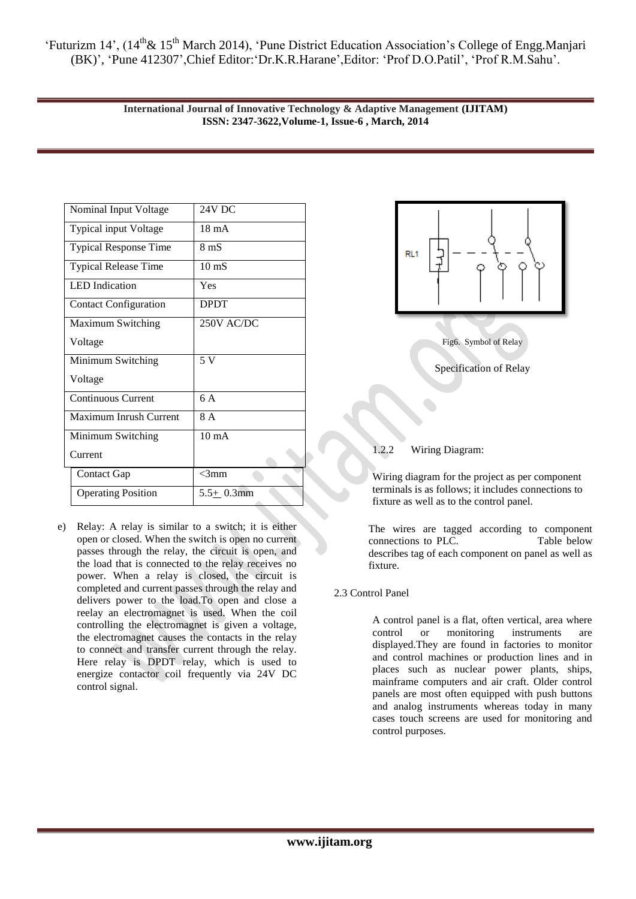> **International Journal of Innovative Technology & Adaptive Management (IJITAM) ISSN: 2347-3622,Volume-1, Issue-6 , March, 2014**

| Nominal Input Voltage        | <b>24V DC</b>   |
|------------------------------|-----------------|
| <b>Typical input Voltage</b> | $18 \text{ mA}$ |
| <b>Typical Response Time</b> | 8 mS            |
| <b>Typical Release Time</b>  | $10 \text{ mS}$ |
| <b>LED</b> Indication        | Yes             |
| <b>Contact Configuration</b> | <b>DPDT</b>     |
| Maximum Switching            | 250V AC/DC      |
| Voltage                      |                 |
| Minimum Switching            | 5 V             |
| Voltage                      |                 |
| <b>Continuous Current</b>    | 6 A             |
| Maximum Inrush Current       | 8A              |
| Minimum Switching            | $10 \text{ mA}$ |
| Current                      |                 |
| Contact Gap                  | $<$ 3mm         |
| <b>Operating Position</b>    | $5.5+0.3$ mm    |

e) Relay: A relay is similar to a switch; it is either open or closed. When the switch is open no current passes through the relay, the circuit is open, and the load that is connected to the relay receives no power. When a relay is closed, the circuit is completed and current passes through the relay and delivers power to the load.To open and close a reelay an electromagnet is used. When the coil controlling the electromagnet is given a voltage, the electromagnet causes the contacts in the relay to connect and transfer current through the relay. Here relay is DPDT relay, which is used to energize contactor coil frequently via 24V DC control signal.



# 1.2.2 Wiring Diagram:

Wiring diagram for the project as per component terminals is as follows; it includes connections to fixture as well as to the control panel.

The wires are tagged according to component connections to PLC. Table below describes tag of each component on panel as well as fixture.

# 2.3 Control Panel

A control panel is a flat, often vertical, area where control or monitoring instruments are displayed.They are found in factories to monitor and control machines or production lines and in places such as nuclear power plants, ships, mainframe computers and air craft. Older control panels are most often equipped with push buttons and analog instruments whereas today in many cases touch screens are used for monitoring and control purposes.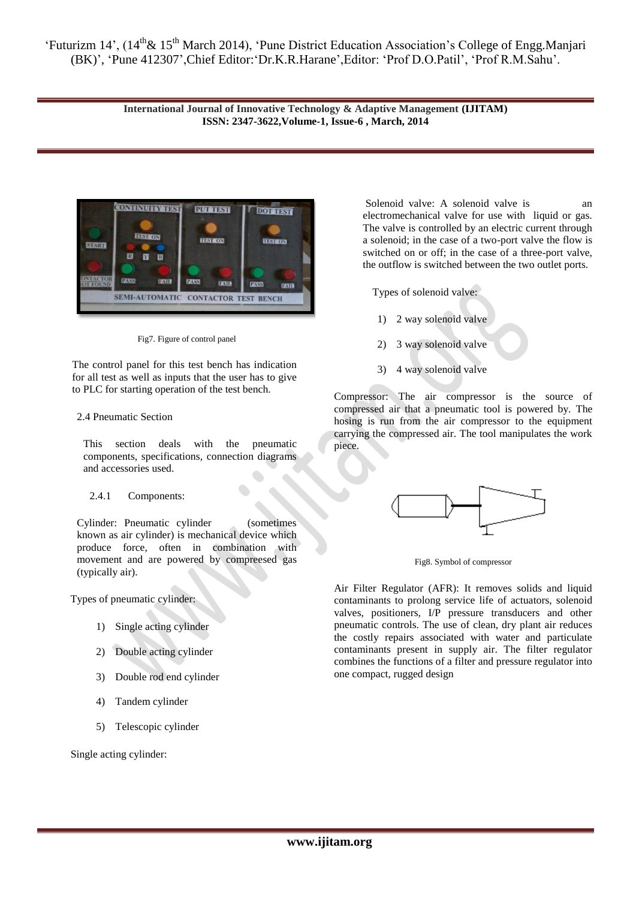> **International Journal of Innovative Technology & Adaptive Management (IJITAM) ISSN: 2347-3622,Volume-1, Issue-6 , March, 2014**



Fig7. Figure of control panel

The control panel for this test bench has indication for all test as well as inputs that the user has to give to PLC for starting operation of the test bench.

# 2.4 Pneumatic Section

This section deals with the pneumatic components, specifications, connection diagrams and accessories used.

# 2.4.1 Components:

Cylinder: Pneumatic cylinder (sometimes known as air cylinder) is mechanical device which produce force, often in combination with movement and are powered by compreesed gas (typically air).

Types of pneumatic cylinder:

- 1) Single acting cylinder
- 2) Double acting cylinder
- 3) Double rod end cylinder
- 4) Tandem cylinder
- 5) Telescopic cylinder

Single acting cylinder:

Solenoid valve: A solenoid valve is an electromechanical valve for use with liquid or gas. The valve is controlled by an electric current through a solenoid; in the case of a two-port valve the flow is switched on or off; in the case of a three-port valve, the outflow is switched between the two outlet ports.

Types of solenoid valve:

- 1) 2 way solenoid valve
- 2) 3 way solenoid valve
- 3) 4 way solenoid valve

Compressor: The air compressor is the source of compressed air that a pneumatic tool is powered by. The hosing is run from the air compressor to the equipment carrying the compressed air. The tool manipulates the work piece.



Fig8. Symbol of compressor

Air Filter Regulator (AFR): It removes solids and liquid contaminants to prolong service life of actuators, solenoid valves, positioners, I/P pressure transducers and other pneumatic controls. The use of clean, dry plant air reduces the costly repairs associated with water and particulate contaminants present in supply air. The filter regulator combines the functions of a filter and pressure regulator into one compact, rugged design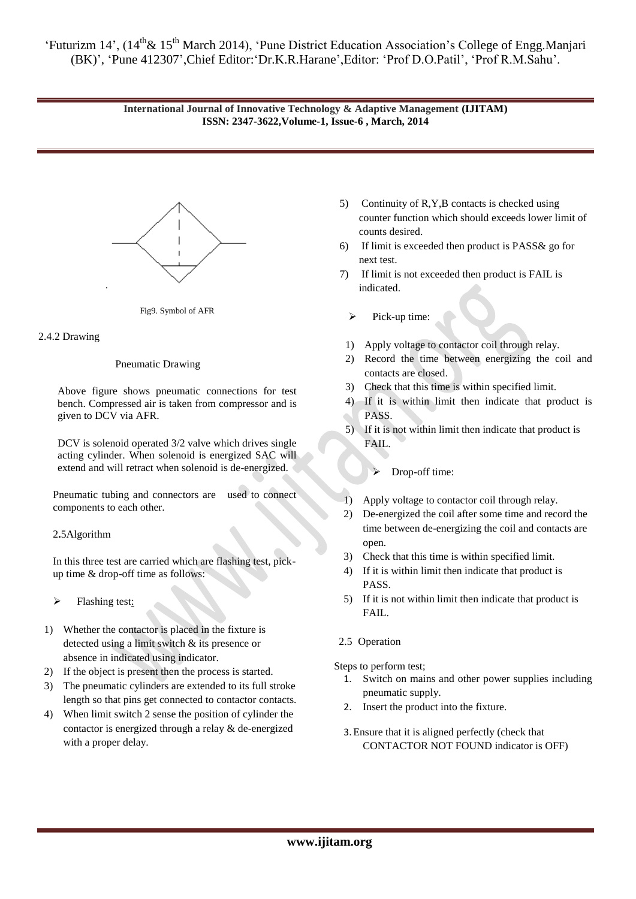# **International Journal of Innovative Technology & Adaptive Management (IJITAM) ISSN: 2347-3622,Volume-1, Issue-6 , March, 2014**



#### Fig9. Symbol of AFR

## 2.4.2 Drawing

#### Pneumatic Drawing

Above figure shows pneumatic connections for test bench. Compressed air is taken from compressor and is given to DCV via AFR.

DCV is solenoid operated 3/2 valve which drives single acting cylinder. When solenoid is energized SAC will extend and will retract when solenoid is de-energized.

Pneumatic tubing and connectors are used to connect components to each other.

## 2**.**5Algorithm

In this three test are carried which are flashing test, pickup time & drop-off time as follows:

- $\triangleright$  Flashing test:
- 1) Whether the contactor is placed in the fixture is detected using a limit switch & its presence or absence in indicated using indicator.
- 2) If the object is present then the process is started.
- 3) The pneumatic cylinders are extended to its full stroke length so that pins get connected to contactor contacts.
- 4) When limit switch 2 sense the position of cylinder the contactor is energized through a relay & de-energized with a proper delay.
- 5) Continuity of R,Y,B contacts is checked using counter function which should exceeds lower limit of counts desired.
- 6) If limit is exceeded then product is PASS& go for next test.
- 7) If limit is not exceeded then product is FAIL is indicated.
	- $\triangleright$  Pick-up time:
	- 1) Apply voltage to contactor coil through relay.
- 2) Record the time between energizing the coil and contacts are closed.
- 3) Check that this time is within specified limit.
- 4) If it is within limit then indicate that product is PASS.
- 5) If it is not within limit then indicate that product is FAIL.
	- > Drop-off time:
- 1) Apply voltage to contactor coil through relay.
- 2) De-energized the coil after some time and record the time between de-energizing the coil and contacts are open.
- 3) Check that this time is within specified limit.
- 4) If it is within limit then indicate that product is PASS.
- 5) If it is not within limit then indicate that product is FAIL.
- 2.5 Operation

Steps to perform test;

- 1. Switch on mains and other power supplies including pneumatic supply.
- 2. Insert the product into the fixture.
- 3.Ensure that it is aligned perfectly (check that CONTACTOR NOT FOUND indicator is OFF)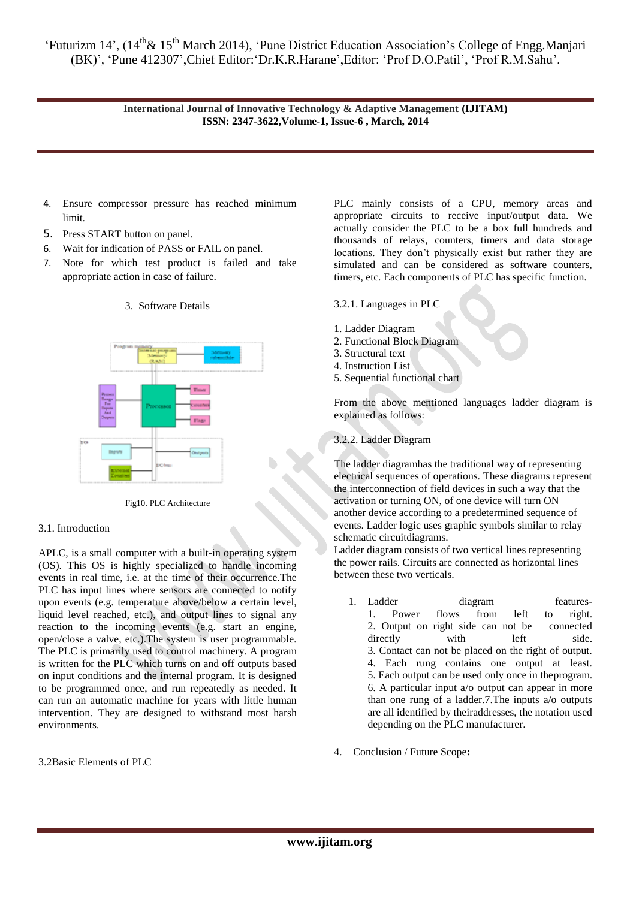> **International Journal of Innovative Technology & Adaptive Management (IJITAM) ISSN: 2347-3622,Volume-1, Issue-6 , March, 2014**

- 4. Ensure compressor pressure has reached minimum limit.
- 5. Press START button on panel.
- 6. Wait for indication of PASS or FAIL on panel.
- 7. Note for which test product is failed and take appropriate action in case of failure.



## 3. Software Details

Fig10. PLC Architecture

## 3.1. Introduction

APLC, is a small computer with a built-in operating system (OS). This OS is highly specialized to handle incoming events in real time, i.e. at the time of their occurrence.The PLC has input lines where sensors are connected to notify upon events (e.g. temperature above/below a certain level, liquid level reached, etc.), and output lines to signal any reaction to the incoming events (e.g. start an engine, open/close a valve, etc.).The system is user programmable. The PLC is primarily used to control machinery. A program is written for the PLC which turns on and off outputs based on input conditions and the internal program. It is designed to be programmed once, and run repeatedly as needed. It can run an automatic machine for years with little human intervention. They are designed to withstand most harsh environments.

3.2Basic Elements of PLC

PLC mainly consists of a CPU, memory areas and appropriate circuits to receive input/output data. We actually consider the PLC to be a box full hundreds and thousands of relays, counters, timers and data storage locations. They don't physically exist but rather they are simulated and can be considered as software counters, timers, etc. Each components of PLC has specific function.

#### 3.2.1. Languages in PLC

- 1. Ladder Diagram
- 2. Functional Block Diagram
- 3. Structural text
- 4. Instruction List
- 5. Sequential functional chart

From the above mentioned languages ladder diagram is explained as follows:

# 3.2.2. Ladder Diagram

The ladder diagramhas the traditional way of representing electrical sequences of operations. These diagrams represent the interconnection of field devices in such a way that the activation or turning ON, of one device will turn ON another device according to a predetermined sequence of events. Ladder logic uses graphic symbols similar to relay schematic circuitdiagrams.

Ladder diagram consists of two vertical lines representing the power rails. Circuits are connected as horizontal lines between these two verticals.

- 1. Ladder diagram features**-**1. Power flows from left to right. 2. Output on right side can not be connected directly with left side. 3. Contact can not be placed on the right of output. 4. Each rung contains one output at least. 5. Each output can be used only once in theprogram. 6. A particular input a/o output can appear in more than one rung of a ladder.7.The inputs a/o outputs are all identified by theiraddresses, the notation used depending on the PLC manufacturer.
- 4. Conclusion / Future Scope**:**